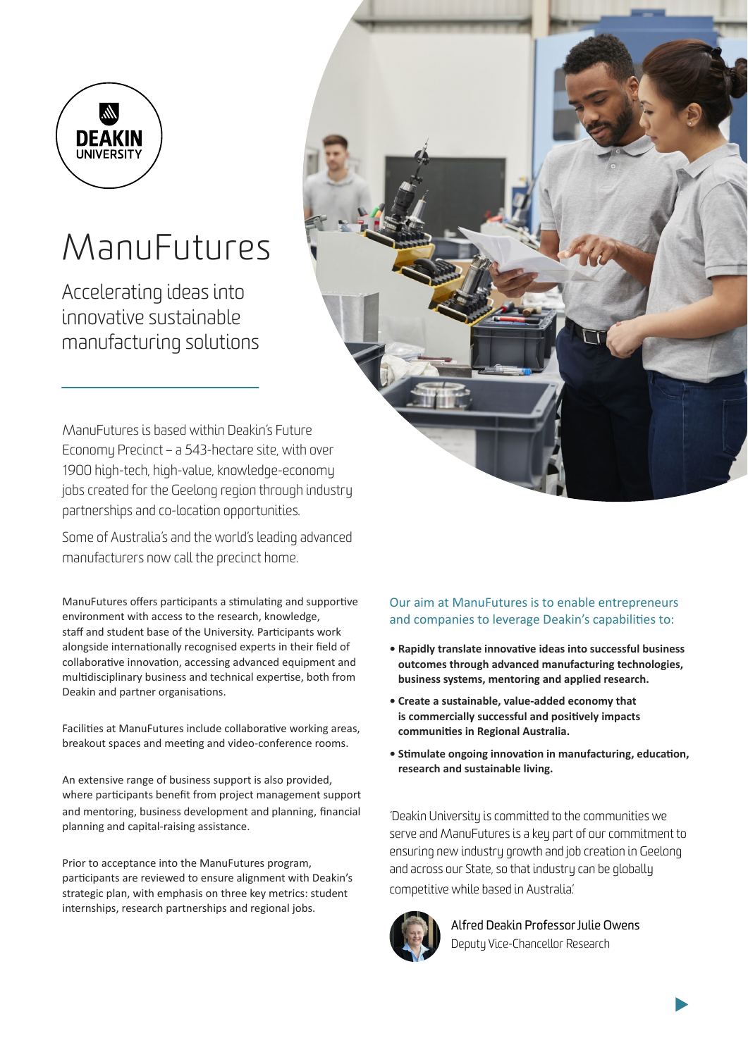

# ManuFutures

Accelerating ideas into innovative sustainable manufacturing solutions

ManuFutures is based within Deakin's Future Economy Precinct – a 543-hectare site, with over 1900 high-tech, high-value, knowledge-economy jobs created for the Geelong region through industry partnerships and co-location opportunities.

Some of Australia's and the world's leading advanced manufacturers now call the precinct home.

ManuFutures offers participants a stimulating and supportive environment with access to the research, knowledge, staff and student base of the University. Participants work alongside internationally recognised experts in their field of collaborative innovation, accessing advanced equipment and multidisciplinary business and technical expertise, both from Deakin and partner organisations.

Facilities at ManuFutures include collaborative working areas, breakout spaces and meeting and video-conference rooms.

An extensive range of business support is also provided, where participants benefit from project management support and mentoring, business development and planning, financial planning and capital-raising assistance.

Prior to acceptance into the ManuFutures program, participants are reviewed to ensure alignment with Deakin's strategic plan, with emphasis on three key metrics: student internships, research partnerships and regional jobs.

#### Our aim at ManuFutures is to enable entrepreneurs and companies to leverage Deakin's capabilities to:

- **Rapidly translate innovative ideas into successful business outcomes through advanced manufacturing technologies, business systems, mentoring and applied research.**
- **Create a sustainable, value-added economy that is commercially successful and positively impacts communities in Regional Australia.**
- **Stimulate ongoing innovation in manufacturing, education, research and sustainable living.**

'Deakin University is committed to the communities we serve and ManuFutures is a key part of our commitment to ensuring new industry growth and job creation in Geelong and across our State, so that industry can be globally competitive while based in Australia.'



Alfred Deakin Professor Julie Owens Deputy Vice-Chancellor Research